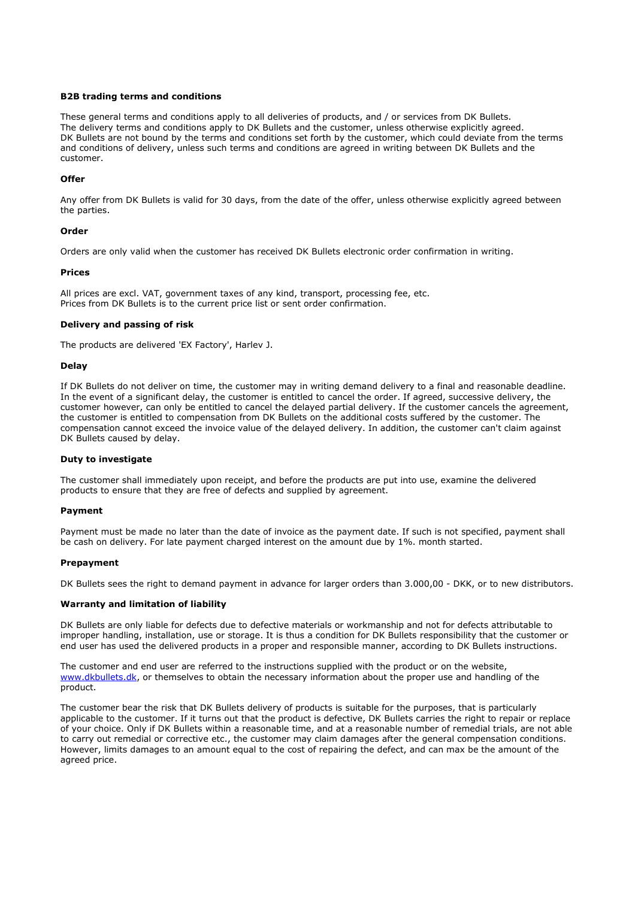### **B2B trading terms and conditions**

These general terms and conditions apply to all deliveries of products, and / or services from DK Bullets. The delivery terms and conditions apply to DK Bullets and the customer, unless otherwise explicitly agreed. DK Bullets are not bound by the terms and conditions set forth by the customer, which could deviate from the terms and conditions of delivery, unless such terms and conditions are agreed in writing between DK Bullets and the customer.

## **Offer**

Any offer from DK Bullets is valid for 30 days, from the date of the offer, unless otherwise explicitly agreed between the parties.

### **Order**

Orders are only valid when the customer has received DK Bullets electronic order confirmation in writing.

### **Prices**

All prices are excl. VAT, government taxes of any kind, transport, processing fee, etc. Prices from DK Bullets is to the current price list or sent order confirmation.

### **Delivery and passing of risk**

The products are delivered 'EX Factory', Harlev J.

### **Delay**

If DK Bullets do not deliver on time, the customer may in writing demand delivery to a final and reasonable deadline. In the event of a significant delay, the customer is entitled to cancel the order. If agreed, successive delivery, the customer however, can only be entitled to cancel the delayed partial delivery. If the customer cancels the agreement, the customer is entitled to compensation from DK Bullets on the additional costs suffered by the customer. The compensation cannot exceed the invoice value of the delayed delivery. In addition, the customer can't claim against DK Bullets caused by delay.

#### **Duty to investigate**

The customer shall immediately upon receipt, and before the products are put into use, examine the delivered products to ensure that they are free of defects and supplied by agreement.

#### **Payment**

Payment must be made no later than the date of invoice as the payment date. If such is not specified, payment shall be cash on delivery. For late payment charged interest on the amount due by 1%. month started.

#### **Prepayment**

DK Bullets sees the right to demand payment in advance for larger orders than 3.000,00 - DKK, or to new distributors.

# **Warranty and limitation of liability**

DK Bullets are only liable for defects due to defective materials or workmanship and not for defects attributable to improper handling, installation, use or storage. It is thus a condition for DK Bullets responsibility that the customer or end user has used the delivered products in a proper and responsible manner, according to DK Bullets instructions.

The customer and end user are referred to the instructions supplied with the product or on the website, www.dkbullets.dk, or themselves to obtain the necessary information about the proper use and handling of the product.

The customer bear the risk that DK Bullets delivery of products is suitable for the purposes, that is particularly applicable to the customer. If it turns out that the product is defective, DK Bullets carries the right to repair or replace of your choice. Only if DK Bullets within a reasonable time, and at a reasonable number of remedial trials, are not able to carry out remedial or corrective etc., the customer may claim damages after the general compensation conditions. However, limits damages to an amount equal to the cost of repairing the defect, and can max be the amount of the agreed price.